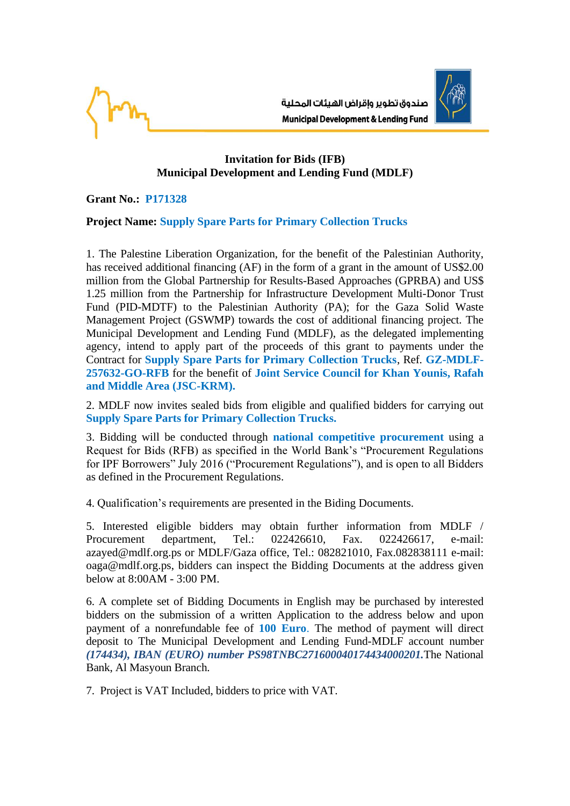

## **Invitation for Bids (IFB) Municipal Development and Lending Fund (MDLF)**

**Grant No.: P171328**

## **Project Name: Supply Spare Parts for Primary Collection Trucks**

1. The Palestine Liberation Organization, for the benefit of the Palestinian Authority, has received additional financing (AF) in the form of a grant in the amount of US\$2.00 million from the Global Partnership for Results-Based Approaches (GPRBA) and US\$ 1.25 million from the Partnership for Infrastructure Development Multi-Donor Trust Fund (PID-MDTF) to the Palestinian Authority (PA); for the Gaza Solid Waste Management Project (GSWMP) towards the cost of additional financing project. The Municipal Development and Lending Fund (MDLF), as the delegated implementing agency, intend to apply part of the proceeds of this grant to payments under the Contract for **Supply Spare Parts for Primary Collection Trucks**, Ref. **GZ-MDLF-257632-GO-RFB** for the benefit of **Joint Service Council for Khan Younis, Rafah and Middle Area (JSC-KRM).**

2. MDLF now invites sealed bids from eligible and qualified bidders for carrying out **Supply Spare Parts for Primary Collection Trucks.**

3. Bidding will be conducted through **national competitive procurement** using a Request for Bids (RFB) as specified in the World Bank's "Procurement Regulations for IPF Borrowers" July 2016 ("Procurement Regulations"), and is open to all Bidders as defined in the Procurement Regulations.

4. Qualification's requirements are presented in the Biding Documents.

5. Interested eligible bidders may obtain further information from MDLF / Procurement department, Tel.: 022426610, Fax. 022426617, e-mail: azayed@mdlf.org.ps or MDLF/Gaza office, Tel.: 082821010, Fax.082838111 e-mail: oaga@mdlf.org.ps, bidders can inspect the Bidding Documents at the address given below at 8:00AM - 3:00 PM.

6. A complete set of Bidding Documents in English may be purchased by interested bidders on the submission of a written Application to the address below and upon payment of a nonrefundable fee of **100 Euro**. The method of payment will direct deposit to The Municipal Development and Lending Fund-MDLF account number *(174434), IBAN (EURO) number PS98TNBC271600040174434000201.*The National Bank, Al Masyoun Branch.

7. Project is VAT Included, bidders to price with VAT.